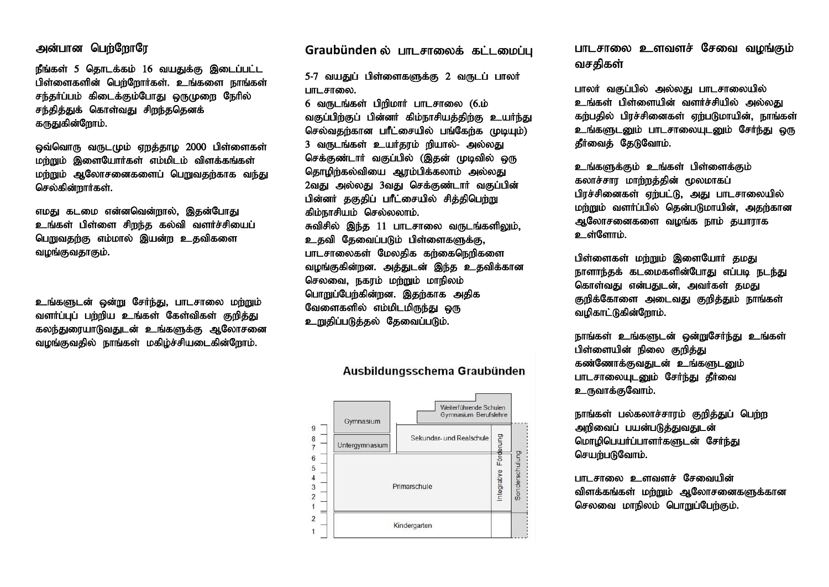## அன்பான பெற்றோரே

 $\mathsf{f}\mathsf{f}$ ங்கள் 5 தொடக்கம் 16 வயதுக்கு இடைப்பட்ட பிள்ளைகளின் பெற்றோர்கள். உங்களை நாங்கள் சந்தர்ப்பம் கிடைக்கும்போது ஒருமுறை நேரில் சந்தித்துக் கொள்வது சிறந்ததெனக் கருதுகின்றோம்.

ஒவ்வொரு வருடமும் ஏறத்தாழ 2000 பிள்ளைகள் மற்றும் இளையோர்கள் எம்மிடம் விளக்கங்கள் மற்றும் ஆலோசனைகளைப் பெறுவதற்காக வந்து செல்கின்றார்கள்.

எமது கடமை என்னவென்றால், இதன்போது உங்கள் பிள்ளை சிறந்த கல்வி வளர்ச்சியைப் பெறுவதற்கு எம்மால் இயன்ற உதவிகளை வழங்குவதாகும்.

உங்களுடன் ஒன்று சேர்ந்து, பாடசாலை மற்றும் வளர்ப்புப் பற்றிய உங்கள் கேள்விகள் குறித்து கலந்துரையாடுவதுடன் உங்களுக்கு ஆலோசனை வமங்குவதில் நாங்கள் மகிம்ச்சியடைகின்ளோம்.

Graubünden ல் பாடசாலைக் கட்டமைப்பு

5-7 வயதுப் பிள்ளைகளுக்கு 2 வருடப் பாலர் பாடசாலை.

 $6$  வருடங்கள் பிறிமார் பாடசாலை (6.ம் வகுப்பிற்குப் பின்னர் கிம்நாசியத்திற்கு உயர்ந்து செல்வகர்கான பரீட்சையில் பங்கேர்க (மடியம்) 3 வருடங்கள் உயர்தரம் நியால்- அல்லது செக்குண்டார் வகுப்பில் (இதன் முடிவில் ஒரு தொழிற்கல்வியை ஆரம்பிக்கலாம் அல்லது 2வது அல்லது 3வது செக்குண்டார் வகுப்பின் பின்னர் தகுதிப் பரீட்சையில் சிக்கிபெற்று கிம்நாசியம் செல்லலாம்.

சுவிசில் இந்த 11 பாடசாலை வருடங்களிலும். உதவி தேவைப்படும் பிள்ளைகளுக்கு, பாடசாலைகள் மேலகிக கர்கைநெரிகளை வழங்குகின்றன. அத்துடன் இந்த உதவிக்கான செலவை, நகரம் மற்றும் மாநிலம் பொறுப்பேற்கின்றன. இதற்காக அதிக வேளைகளில் எம்மிடமிருந்து ஒரு உறுகிப்படுக்கல் கேவைப்படும்.

Weiterführende Schulen Gymnasium Berufslehre Gymnasium  $\mathbf{q}$ Buna Sekundar- und Realschule  $\overline{8}$ Untergymnasium  $\overline{7}$ Sonderschulung  $6\overline{6}$ Förd 5 ntegrative  $\overline{4}$ 3 Primarschule  $\overline{2}$  $\overline{1}$  $\overline{c}$ Kindergarten

Ausbildungsschema Graubünden

பாடசாலை உளவளச் சேவை வமங்கும் வசதிகள்

பாலர் வகுப்பில் அல்லது பாடசாலையில் உங்கள் பிள்ளையின் வளர்ச்சியில் அல்லது கர்பகில் பிரச்சினைகள் ஏற்படுமாயின், நாங்கள் உங்களுடனும் பாடசாலையுடனும் சேர்ந்து ஒரு கீர்வைக் கேடுவோம்.

உங்களுக்கும் உங்கள் பிள்ளைக்கும் கலாச்சார மாற்றத்தின் மூலமாகப் பிரச்சினைகள் ஏற்பட்டு, அது பாடசாலையில் மர்றும் வளர்ப்பில் கென்படுமாயின், அகர்கான ஆலோசனைகளை வழங்க நாம் தயாராக **உள்ளோ**ம்.

பிள்ளைகள் மற்றும் இளையோர் தமது நாளாந்தக் கடமைகளின்போது எப்படி நடந்து கொள்வது என்பதுடன், அவர்கள் தமது குறிக்கோளை அடைவது குறித்தும் நாங்கள் வமிகாட்டுகின்ளோம்.

நாங்கள் உங்களுடன் ஒன்றுசேர்ந்து உங்கள் பிள்ளையின் நிலை குறித்து கண்ணோக்குவதுடன் உங்களுடனும் பாடசாலையுடனும் சேர்ந்து தீர்வை உருவாக்குவோம்.

நாங்கள் பல்கலாச்சாரம் குறித்துப் பெற்ற அறிவைப் பயன்படுக்குவதுடன் மொழிபெயர்ப்பாளர்களுடன் சேர்ந்து செயர்படுவோம்.

பாடசாலை உளவளச் சேவையின் விளக்கங்கள் மற்றும் ஆலோசனைகளுக்கான செலவை மாநிலம் பொறுப்பேற்கும்.